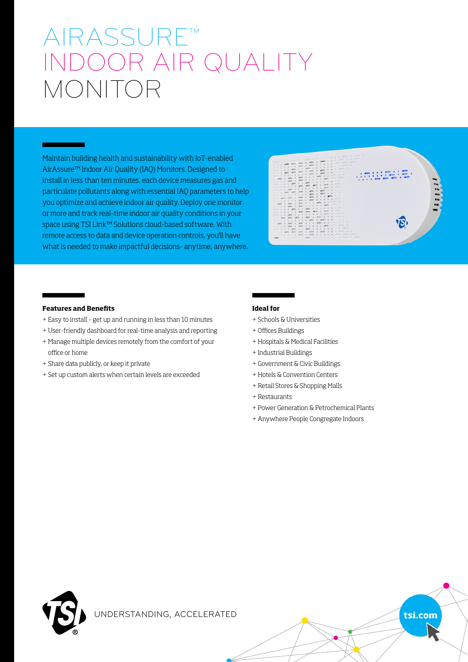# AIRASSURE™ INDOOR AIR QUALITY MONITOR

Maintain building health and sustainability with IoT-enabled AirAssure™ Indoor Air Quality (IAQ) Monitors. Designed to install in less than ten minutes, each device measures gas and particulate pollutants along with essential IAQ parameters to help you optimize and achieve indoor air quality. Deploy one monitor or more and track real-time indoor air quality conditions in your space using TSI Link™ Solutions cloud-based software. With remote access to data and device operation controls, you'll have what is needed to make impactful decisions- anytime, anywhere.



tsi.com

### **Features and Benefits**

- + Easy to install get up and running in less than 10 minutes
- + User-friendly dashboard for real-time analysis and reporting
- + Manage multiple devices remotely from the comfort of your office or home
- + Share data publicly, or keep it private
- + Set up custom alerts when certain levels are exceeded

#### **Ideal for**

- + Schools & Universities
- + Offices Buildings
- + Hospitals & Medical Facilities
- + Industrial Buildings
- + Government & Civic Buildings
- + Hotels & Convention Centers
- + Retail Stores & Shopping Malls
- + Restaurants
- + Power Generation & Petrochemical Plants
- + Anywhere People Congregate Indoors